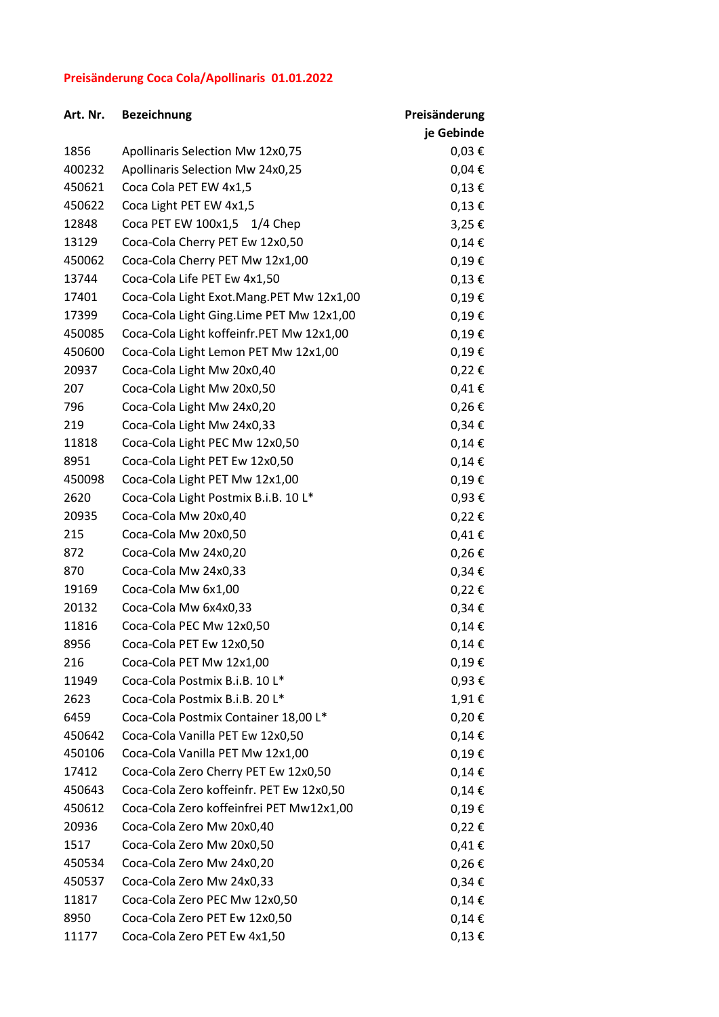## Preisänderung Coca Cola/Apollinaris 01.01.2022

| Art. Nr. | <b>Bezeichnung</b>                       | Preisänderung |
|----------|------------------------------------------|---------------|
|          |                                          | je Gebinde    |
| 1856     | Apollinaris Selection Mw 12x0,75         | $0,03 \in$    |
| 400232   | Apollinaris Selection Mw 24x0,25         | $0,04 \in$    |
| 450621   | Coca Cola PET EW 4x1,5                   | $0,13 \in$    |
| 450622   | Coca Light PET EW 4x1,5                  | $0,13 \in$    |
| 12848    | Coca PET EW 100x1,5 1/4 Chep             | 3,25€         |
| 13129    | Coca-Cola Cherry PET Ew 12x0,50          | $0,14 \in$    |
| 450062   | Coca-Cola Cherry PET Mw 12x1,00          | 0,19€         |
| 13744    | Coca-Cola Life PET Ew 4x1,50             | $0,13 \in$    |
| 17401    | Coca-Cola Light Exot.Mang.PET Mw 12x1,00 | 0,19€         |
| 17399    | Coca-Cola Light Ging.Lime PET Mw 12x1,00 | 0,19€         |
| 450085   | Coca-Cola Light koffeinfr.PET Mw 12x1,00 | 0,19€         |
| 450600   | Coca-Cola Light Lemon PET Mw 12x1,00     | 0,19€         |
| 20937    | Coca-Cola Light Mw 20x0,40               | $0,22 \in$    |
| 207      | Coca-Cola Light Mw 20x0,50               | $0,41 \in$    |
| 796      | Coca-Cola Light Mw 24x0,20               | $0,26 \in$    |
| 219      | Coca-Cola Light Mw 24x0,33               | $0,34 \in$    |
| 11818    | Coca-Cola Light PEC Mw 12x0,50           | $0,14 \in$    |
| 8951     | Coca-Cola Light PET Ew 12x0,50           | $0,14 \in$    |
| 450098   | Coca-Cola Light PET Mw 12x1,00           | 0,19€         |
| 2620     | Coca-Cola Light Postmix B.i.B. 10 L*     | 0,93€         |
| 20935    | Coca-Cola Mw 20x0,40                     | 0,22€         |
| 215      | Coca-Cola Mw 20x0,50                     | 0,41€         |
| 872      | Coca-Cola Mw 24x0,20                     | $0,26 \in$    |
| 870      | Coca-Cola Mw 24x0,33                     | $0,34 \in$    |
| 19169    | Coca-Cola Mw 6x1,00                      | $0,22 \in$    |
| 20132    | Coca-Cola Mw 6x4x0,33                    | $0,34 \in$    |
| 11816    | Coca-Cola PEC Mw 12x0,50                 | $0,14 \in$    |
| 8956     | Coca-Cola PET Ew 12x0,50                 | $0,14 \in$    |
| 216      | Coca-Cola PET Mw 12x1,00                 | 0,19€         |
| 11949    | Coca-Cola Postmix B.i.B. 10 L*           | 0,93€         |
| 2623     | Coca-Cola Postmix B.i.B. 20 L*           | 1,91€         |
| 6459     | Coca-Cola Postmix Container 18,00 L*     | 0,20€         |
| 450642   | Coca-Cola Vanilla PET Ew 12x0,50         | $0,14 \in$    |
| 450106   | Coca-Cola Vanilla PET Mw 12x1,00         | 0,19€         |
| 17412    | Coca-Cola Zero Cherry PET Ew 12x0,50     | 0,14€         |
| 450643   | Coca-Cola Zero koffeinfr. PET Ew 12x0,50 | $0,14 \in$    |
| 450612   | Coca-Cola Zero koffeinfrei PET Mw12x1,00 | 0,19€         |
| 20936    | Coca-Cola Zero Mw 20x0,40                | $0,22 \in$    |
| 1517     | Coca-Cola Zero Mw 20x0,50                | 0,41€         |
| 450534   | Coca-Cola Zero Mw 24x0,20                | $0,26 \in$    |
| 450537   | Coca-Cola Zero Mw 24x0,33                | $0,34 \in$    |
| 11817    | Coca-Cola Zero PEC Mw 12x0,50            | $0,14 \in$    |
| 8950     | Coca-Cola Zero PET Ew 12x0,50            | $0,14 \in$    |
| 11177    | Coca-Cola Zero PET Ew 4x1,50             | $0,13 \in$    |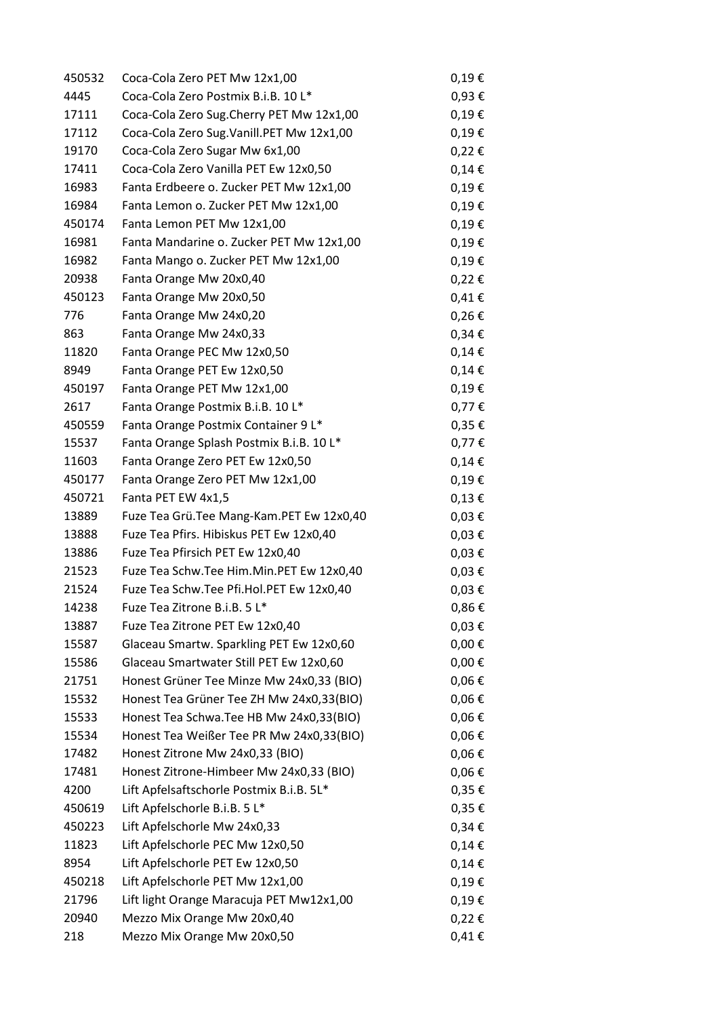| 450532 | Coca-Cola Zero PET Mw 12x1,00                | 0,19€      |
|--------|----------------------------------------------|------------|
| 4445   | Coca-Cola Zero Postmix B.i.B. 10 L*          | 0,93€      |
| 17111  | Coca-Cola Zero Sug. Cherry PET Mw 12x1,00    | 0,19€      |
| 17112  | Coca-Cola Zero Sug. Vanill. PET Mw 12x1,00   | 0,19€      |
| 19170  | Coca-Cola Zero Sugar Mw 6x1,00               | $0,22 \in$ |
| 17411  | Coca-Cola Zero Vanilla PET Ew 12x0,50        | $0,14 \in$ |
| 16983  | Fanta Erdbeere o. Zucker PET Mw 12x1,00      | 0,19€      |
| 16984  | Fanta Lemon o. Zucker PET Mw 12x1,00         | $0,19 \in$ |
| 450174 | Fanta Lemon PET Mw 12x1,00                   | $0,19 \in$ |
| 16981  | Fanta Mandarine o. Zucker PET Mw 12x1,00     | $0,19 \in$ |
| 16982  | Fanta Mango o. Zucker PET Mw 12x1,00         | 0,19€      |
| 20938  | Fanta Orange Mw 20x0,40                      | $0,22 \in$ |
| 450123 | Fanta Orange Mw 20x0,50                      | $0,41 \in$ |
| 776    | Fanta Orange Mw 24x0,20                      | $0,26 \in$ |
| 863    | Fanta Orange Mw 24x0,33                      | $0,34 \in$ |
| 11820  | Fanta Orange PEC Mw 12x0,50                  | $0,14 \in$ |
| 8949   | Fanta Orange PET Ew 12x0,50                  | $0,14 \in$ |
| 450197 | Fanta Orange PET Mw 12x1,00                  | 0,19€      |
| 2617   | Fanta Orange Postmix B.i.B. 10 L*            | $0,77 \in$ |
| 450559 | Fanta Orange Postmix Container 9 L*          | $0,35 \in$ |
| 15537  | Fanta Orange Splash Postmix B.i.B. 10 L*     | $0,77 \in$ |
| 11603  | Fanta Orange Zero PET Ew 12x0,50             | 0,14€      |
| 450177 | Fanta Orange Zero PET Mw 12x1,00             | 0,19€      |
| 450721 | Fanta PET EW 4x1,5                           | $0,13 \in$ |
| 13889  | Fuze Tea Grü. Tee Mang-Kam. PET Ew 12x0,40   | $0,03 \in$ |
| 13888  | Fuze Tea Pfirs. Hibiskus PET Ew 12x0,40      | $0,03 \in$ |
| 13886  | Fuze Tea Pfirsich PET Ew 12x0,40             | $0,03 \in$ |
| 21523  | Fuze Tea Schw. Tee Him. Min. PET Ew 12x0, 40 | $0,03 \in$ |
| 21524  | Fuze Tea Schw.Tee Pfi.Hol.PET Ew 12x0,40     | $0,03 \in$ |
| 14238  | Fuze Tea Zitrone B.i.B. 5 L*                 | $0,86 \in$ |
| 13887  | Fuze Tea Zitrone PET Ew 12x0,40              | $0,03 \in$ |
| 15587  | Glaceau Smartw. Sparkling PET Ew 12x0,60     | $0,00 \in$ |
| 15586  | Glaceau Smartwater Still PET Ew 12x0,60      | $0,00 \in$ |
| 21751  | Honest Grüner Tee Minze Mw 24x0,33 (BIO)     | $0,06 \in$ |
| 15532  | Honest Tea Grüner Tee ZH Mw 24x0,33(BIO)     | $0,06 \in$ |
| 15533  | Honest Tea Schwa. Tee HB Mw 24x0,33(BIO)     | $0,06 \in$ |
| 15534  | Honest Tea Weißer Tee PR Mw 24x0,33(BIO)     | $0,06 \in$ |
| 17482  | Honest Zitrone Mw 24x0,33 (BIO)              | $0,06 \in$ |
| 17481  | Honest Zitrone-Himbeer Mw 24x0,33 (BIO)      | $0,06 \in$ |
| 4200   | Lift Apfelsaftschorle Postmix B.i.B. 5L*     | $0,35 \in$ |
| 450619 | Lift Apfelschorle B.i.B. 5 L*                | $0,35 \in$ |
| 450223 | Lift Apfelschorle Mw 24x0,33                 | $0,34 \in$ |
| 11823  | Lift Apfelschorle PEC Mw 12x0,50             | 0,14€      |
| 8954   | Lift Apfelschorle PET Ew 12x0,50             | $0,14 \in$ |
| 450218 | Lift Apfelschorle PET Mw 12x1,00             | 0,19€      |
| 21796  | Lift light Orange Maracuja PET Mw12x1,00     | 0,19€      |
| 20940  | Mezzo Mix Orange Mw 20x0,40                  | 0,22€      |
| 218    | Mezzo Mix Orange Mw 20x0,50                  | 0,41€      |